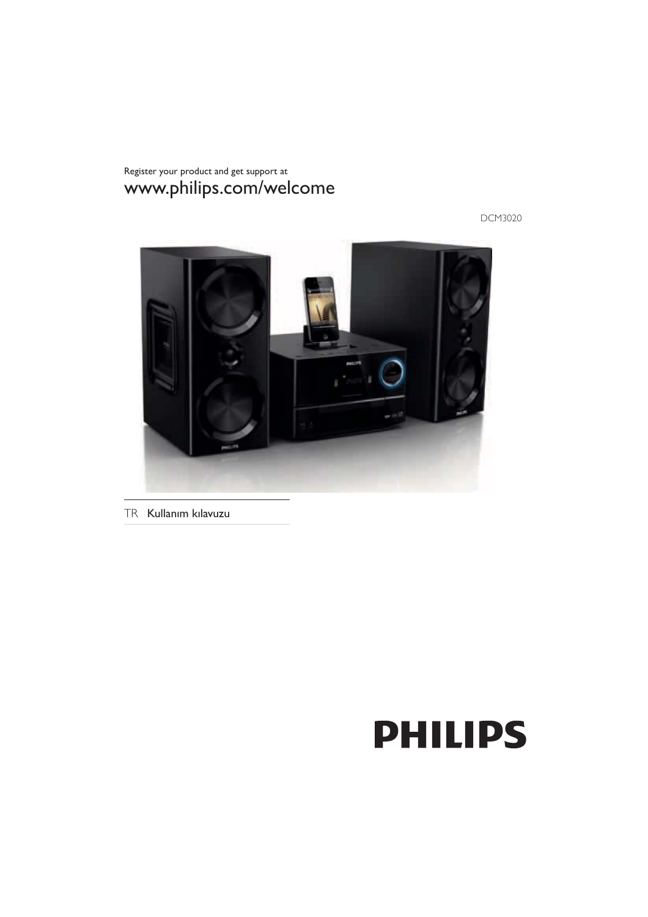Register your product and get support at www.philips.com/welcome

DCM3020



TR Kullanım kılavuzu

# **PHILIPS**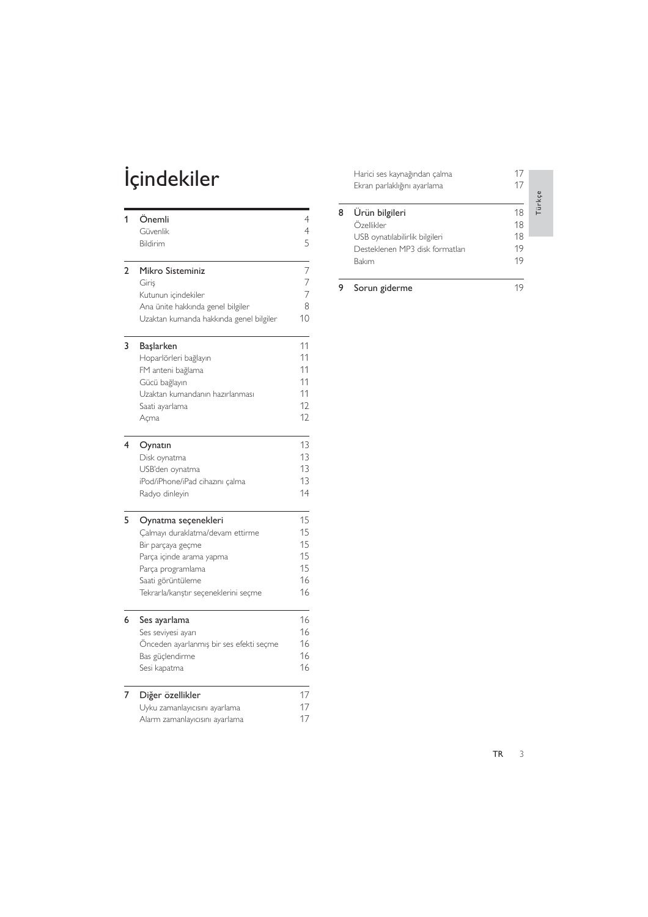# İçindekiler

| 1              | Önemli<br>Güvenlik<br>Bildirim          | 4<br>4<br>5 |
|----------------|-----------------------------------------|-------------|
|                |                                         |             |
| $\overline{2}$ | Mikro Sisteminiz                        | 7           |
|                | Giris                                   | 7           |
|                | Kutunun içindekiler                     | 7           |
|                | Ana ünite hakkında genel bilgiler       | 8           |
|                | Uzaktan kumanda hakkında genel bilgiler | 10          |
| 3              | Başlarken                               | 11          |
|                | Hoparlörleri bağlayın                   | 11          |
|                | FM anteni bağlama                       | 11          |
|                | Gücü bağlayın                           | 11          |
|                | Uzaktan kumandanın hazırlanması         | 11          |
|                | Saati ayarlama                          | 12          |
|                | Açma                                    | 12          |
| 4              | Oynatın                                 | 13          |
|                | Disk oynatma                            | 13          |
|                | USB'den oynatma                         | 13          |
|                | iPod/iPhone/iPad cihazını çalma         | 13          |
|                | Radyo dinleyin                          | 14          |
| 5              | Oynatma seçenekleri                     | 15          |
|                | Çalmayı duraklatma/devam ettirme        | 15          |
|                | Bir parçaya geçme                       | 15          |
|                | Parça içinde arama yapma                | 15          |
|                | Parça programlama                       | 15          |
|                | Saati görüntüleme                       | 16          |
|                | Tekrarla/karıştır seçeneklerini seçme   | 16          |
| 6              | Ses ayarlama                            | 16          |
|                | Ses seviyesi ayarı                      | 16          |
|                | Önceden ayarlanmış bir ses efekti seçme | 16          |
|                | Bas güçlendirme                         | 16          |
|                | Sesi kapatma                            | 16          |
| 7              | Diğer özellikler                        | 17          |
|                | Uyku zamanlayıcısını ayarlama           | 17          |
|                | Alarm zamanlayıcısını ayarlama          | 17          |
|                |                                         |             |

|   | Harici ses kaynağından çalma<br>Ekran parlaklığını ayarlama                                                | 17<br>17                   | Türkçe |
|---|------------------------------------------------------------------------------------------------------------|----------------------------|--------|
| 8 | Ürün bilgileri<br>Özellikler<br>USB oynatılabilirlik bilgileri<br>Desteklenen MP3 disk formatları<br>Bakım | 18<br>18<br>18<br>19<br>19 |        |
|   | Sorun giderme                                                                                              |                            |        |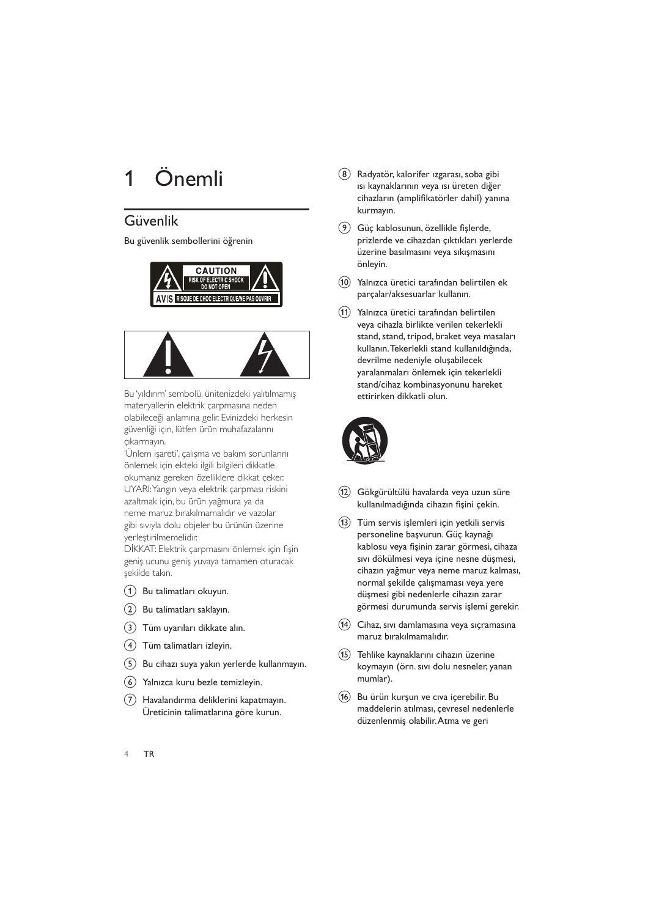## Önemli

#### Güvenlik

Bu güvenlik sembollerini öğrenin





Bu 'yıldırım' sembolü, ünitenizdeki yalıtılmamış materyallerin elektrik çarpmasına neden olabileceği anlamına gelir. Evinizdeki herkesin güvenliği için, lütfen ürün muhafazalarını çıkarmayın.

'Ünlem işareti', çalışma ve bakım sorunlarını önlemek için ekteki ilgili bilgileri dikkatle okumanız gereken özelliklere dikkat çeker. UYARI: Yangın veya elektrik çarpması riskini azaltmak için, bu ürün yağmura ya da neme maruz bırakılmamalıdır ve vazolar gibi sıvıyla dolu objeler bu ürünün üzerine yerleştirilmemelidir.

DİKKAT: Elektrik çarpmasını önlemek için fişin geniş ucunu geniş yuvaya tamamen oturacak şekilde takın.

- (1) Bu talimatları okuyun.
- (2) Bu talimatları saklayın.
- (3) Tüm uyarıları dikkate alın.
- (4) Tüm talimatları izleyin.
- (5) Bu cihazı suya yakın yerlerde kullanmayın.
- 6) Yalnızca kuru bezle temizleyin.
- (7) Havalandırma deliklerini kapatmayın. Üreticinin talimatlarına göre kurun.
- (8) Radyatör, kalorifer izgarası, soba gibi ısı kaynaklarının veya ısı üreten diğer cihazların (amplifikatörler dahil) yanına kurmayın.
- (9) Güç kablosunun, özellikle fişlerde, prizlerde ve cihazdan çıktıkları yerlerde üzerine basılmasını veya sıkışmasını önleyin.
- $\circled{10}$ Yalnızca üretici tarafından belirtilen ek parçalar/aksesuarlar kullanın.
- Yalnızca üretici tarafından belirtilen  $(11)$ veya cihazla birlikte verilen tekerlekli stand, stand, tripod, braket veya masaları kullanın. Tekerlekli stand kullanıldığında, devrilme nedeniyle oluşabilecek yaralanmaları önlemek için tekerlekli stand/cihaz kombinasyonunu hareket ettirirken dikkatli olun.



- (12) Gökgürültülü havalarda veya uzun süre kullanılmadığında cihazın fişini çekin.
- (13) Tüm servis işlemleri için yetkili servis personeline başvurun. Güç kaynağı kablosu veya fişinin zarar görmesi, cihaza sıvı dökülmesi veya içine nesne düşmesi, cihazın yağmur veya neme maruz kalması, normal şekilde çalışmaması veya yere düşmesi gibi nedenlerle cihazın zarar görmesi durumunda servis işlemi gerekir.
- $\sqrt{14}$ Cihaz, sıvı damlamasına veya sıçramasına maruz bırakılmamalıdır.
- (15) Tehlike kaynaklarını cihazın üzerine koymayın (örn. sıvı dolu nesneler, yanan mumlar).
- (16) Bu ürün kurşun ve cıva içerebilir. Bu maddelerin atılması, çevresel nedenlerle düzenlenmiş olabilir. Atma ve geri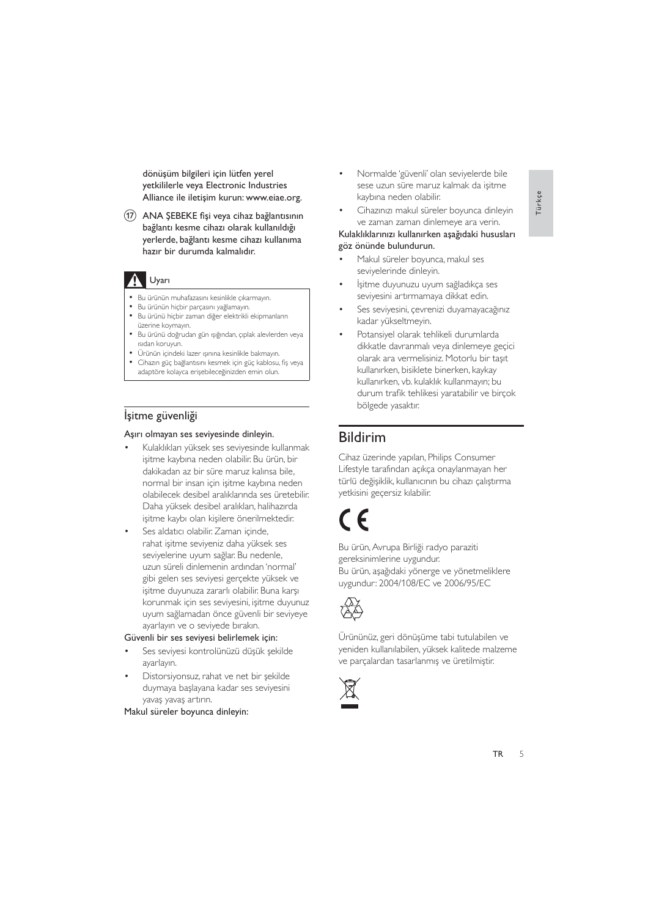dönüşüm bilgileri için lütfen yerel yetkililerle veya Electronic Industries Alliance ile iletisim kurun: www.eiae.org.

(17) ANA ŞEBEKE fişi veya cihaz bağlantısının bağlantı kesme cihazı olarak kullanıldığı yerlerde, bağlantı kesme cihazı kullanıma hazır bir durumda kalmalıdır.

#### **A** Uyarı

- · Bu ürünün muhafazasını kesinlikle çıkarmayın.
- Bu ürünün hiçbir parçasını yağlamayın.
- Bu ürünü hiçbir zaman diğer elektrikli ekipmanların üzerine koymayın.
- · Bu ürünü doğrudan gün ışığından, çıplak alevlerden veya isidan koruvun.
- · Ürünün içindeki lazer ışınına kesinlikle bakmayın.
- Cihazın güç bağlantısını kesmek için güç kablosu, fiş veya adaptöre kolayca erisebileceğinizden emin olun.

#### İşitme güvenliği

#### Aşırı olmayan ses seviyesinde dinleyin.

- Kulaklıkları yüksek ses seviyesinde kullanmak işitme kaybına neden olabilir. Bu ürün, bir dakikadan az bir süre maruz kalınsa bile, normal bir insan için işitme kaybına neden olabilecek desibel aralıklarında ses üretebilir. Daha yüksek desibel aralıkları, halihazırda işitme kaybı olan kişilere önerilmektedir.
- Ses aldatıcı olabilir. Zaman içinde, rahat isitme seviyeniz daha yüksek ses seviyelerine uyum sağlar. Bu nedenle, uzun süreli dinlemenin ardından 'normal' gibi gelen ses seviyesi gerçekte yüksek ve isitme duyunuza zararlı olabilir. Buna karşı korunmak için ses seviyesini, işitme duyunuz uyum sağlamadan önce güvenli bir seviyeye ayarlayın ve o seviyede bırakın.

#### Güvenli bir ses seviyesi belirlemek için:

- Ses seviyesi kontrolünüzü düşük şekilde ayarlayın.
- Distorsiyonsuz, rahat ve net bir sekilde duymaya baslayana kadar ses seviyesini yavaş yavaş artırın.

Makul süreler boyunca dinleyin:

- Normalde 'güvenli' olan seviyelerde bile sese uzun süre maruz kalmak da işitme kaybına neden olabilir.
- 
- Cihazınızı makul süreler boyunca dinleyin ve zaman zaman dinlemeye ara verin.

#### Kulaklıklarınızı kullanırken aşağıdaki hususları göz önünde bulundurun.

- Makul süreler boyunca, makul ses seviyelerinde dinleyin.
- İsitme duyunuzu uyum sağladıkca ses seviyesini artırmamaya dikkat edin.
- Ses seviyesini, çevrenizi duyamayacağınız kadar yükseltmeyin.
- Potansiyel olarak tehlikeli durumlarda dikkatle davranmalı veya dinlemeye geçici olarak ara vermelisiniz. Motorlu bir taşıt kullanırken, bisiklete binerken, kaykay kullanırken, vb. kulaklık kullanmayın; bu durum trafik tehlikesi yaratabilir ve birçok bölgede yasaktır.

#### **Bildirim**

Cihaz üzerinde yapılan, Philips Consumer Lifestyle tarafından açıkça onaylanmayan her türlü değişiklik, kullanıcının bu cihazı çalıştırma yetkisini geçersiz kılabilir.

Bu ürün, Avrupa Birliği radyo paraziti gereksinimlerine uygundur. Bu ürün, aşağıdaki yönerge ve yönetmeliklere uygundur: 2004/108/EC ve 2006/95/EC



Ürününüz, geri dönüşüme tabi tutulabilen ve yeniden kullanılabilen, yüksek kalitede malzeme ve parçalardan tasarlanmış ve üretilmiştir.

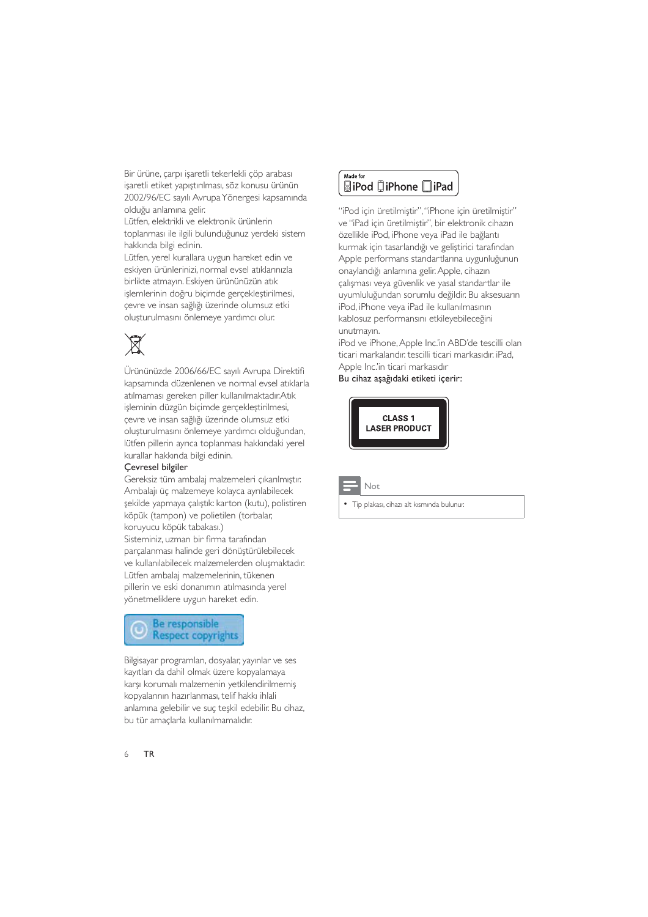Bir ürüne, çarpı işaretli tekerlekli çöp arabası işaretli etiket yapıştırılması, söz konusu ürünün 2002/96/EC sayılı Avrupa Yönergesi kapsamında olduğu anlamına gelir.

Lütfen, elektrikli ve elektronik ürünlerin toplanması ile ilgili bulunduğunuz yerdeki sistem hakkında bilgi edinin.

Lütfen, verel kurallara uygun hareket edin ve eskiyen ürünlerinizi, normal evsel atıklarınızla birlikte atmayın. Eskiyen ürününüzün atık islemlerinin doğru bicimde gerceklestirilmesi. cevre ve insan sağlığı üzerinde olumsuz etki oluşturulmasını önlemeye yardımcı olur.

# $\boxtimes$

Ürününüzde 2006/66/EC sayılı Avrupa Direktifi kapsamında düzenlenen ve normal evsel atıklarla atılmaması gereken piller kullanılmaktadır.Atık işleminin düzgün biçimde gerçekleştirilmesi, çevre ve insan sağlığı üzerinde olumsuz etki oluşturulmasını önlemeye yardımcı olduğundan, lütfen pillerin ayrıca toplanması hakkındaki yerel kurallar hakkında bilgi edinin.

#### Çevresel bilgiler

Gereksiz tüm ambalaj malzemeleri çıkarılmıştır. Ambalajı üç malzemeye kolayca ayrılabilecek şekilde yapmaya çalıştık: karton (kutu), polistiren köpük (tampon) ve polietilen (torbalar, koruyucu köpük tabakası.)

Sisteminiz, uzman bir firma tarafından parçalanması halinde geri dönüştürülebilecek ve kullanılabilecek malzemelerden oluşmaktadır. Lütfen ambalaj malzemelerinin, tükenen pillerin ve eski donanımın atılmasında yerel yönetmeliklere uygun hareket edin.



Bilgisayar programları, dosyalar, yayınlar ve ses kayıtları da dahil olmak üzere kopyalamaya karşı korumalı malzemenin yetkilendirilmemiş kopyalarının hazırlanması, telif hakkı ihlali anlamına gelebilir ve suç teşkil edebilir. Bu cihaz, bu tür amaçlarla kullanılmamalıdır.



"iPod icin üretilmiştir", "iPhone icin üretilmiştir" ve "iPad için üretilmiştir", bir elektronik cihazın özellikle iPod, iPhone veya iPad ile bağlantı kurmak için tasarlandığı ve geliştirici tarafından Apple performans standartlarına uygunluğunun onaylandığı anlamına gelir. Apple, cihazın çalışması veya güvenlik ve yasal standartlar ile uyumluluğundan sorumlu değildir. Bu aksesuarın iPod, iPhone veya iPad ile kullanılmasının kablosuz performansını etkileyebileceğini unutmavin.

iPod ve iPhone, Apple Inc.'in ABD'de tescilli olan ticari markalandır. tescilli ticari markasıdır. iPad. Apple Inc.'in ticari markasıdır

Bu cihaz aşağıdaki etiketi içerir:



Not

Tip plakası, cihazı alt kısmında bulunur.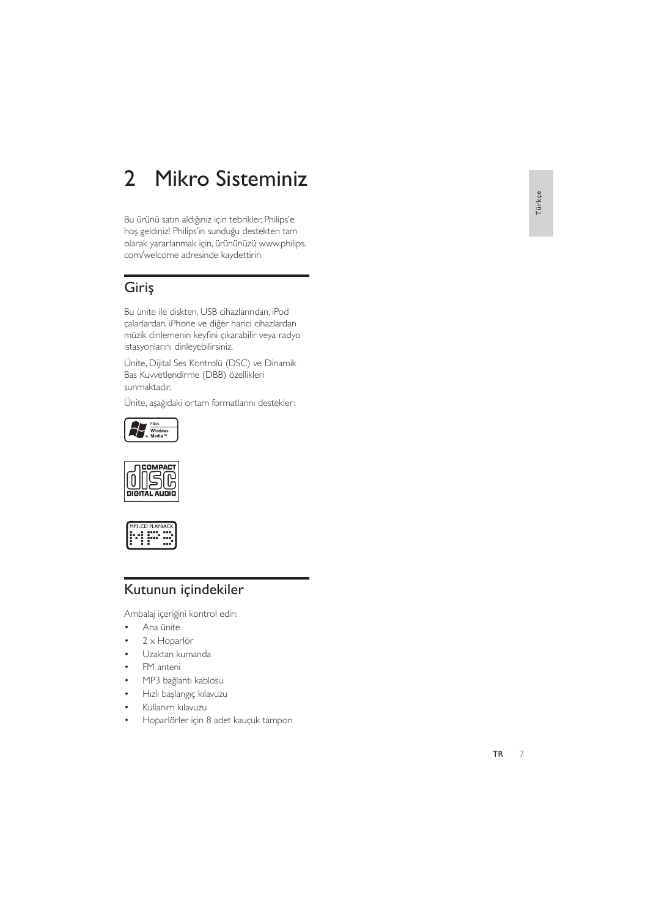#### Mikro Sisteminiz  $\overline{2}$

Bu ürünü satın aldığınız için tebrikler, Philips'e hoş geldiniz! Philips'in sunduğu destekten tam olarak yararlanmak için, ürününüzü www.philips. com/welcome adresinde kaydettirin.

#### Giriş

Bu ünite ile diskten, USB cihazlarından, iPod çalarlardan, iPhone ve diğer harici cihazlardan müzik dinlemenin keyfini çıkarabilir veya radyo istasyonlarını dinleyebilirsiniz.

Ünite, Dijital Ses Kontrolü (DSC) ve Dinamik Bas Kuvvetlendirme (DBB) özellikleri sunmaktadır.

Ünite, aşağıdaki ortam formatlarını destekler:







#### Kutunun içindekiler

Ambalaj içeriğini kontrol edin:

- $\ddot{\phantom{a}}$ Ana ünite
- $2 \times$  Hoparlör  $\bullet$
- Uzaktan kumanda
- FM anteni
- MP3 bağlantı kablosu
- Hızlı başlangıç kılavuzu
- Kullanım kılavuzu
- Hoparlörler için 8 adet kauçuk tampon  $\bullet$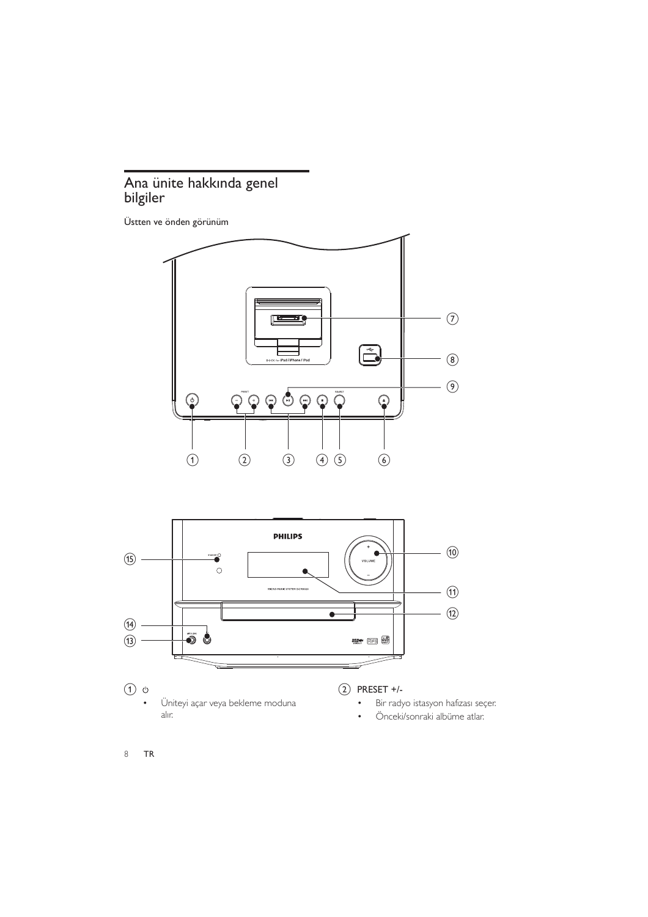# Ana ünite hakkında genel<br>bilgiler

Üstten ve önden görünüm



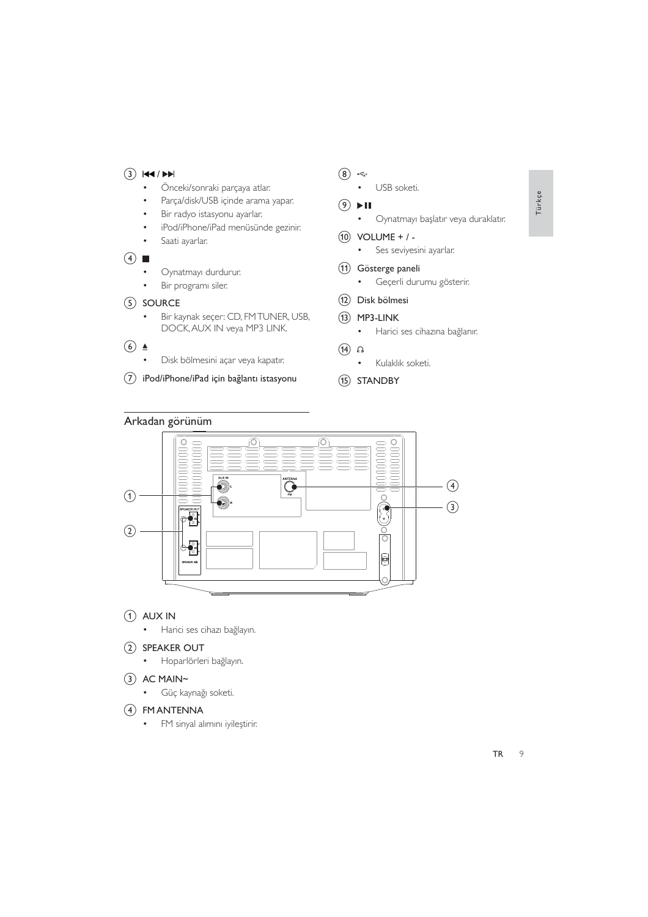#### $(3)$   $|\mathbf{44}/\mathbf{P}\mathbf{H}|$

- $\bullet$ Önceki/sonraki parçaya atlar.
- Parça/disk/USB içinde arama yapar.  $\overline{a}$
- Bir radyo istasyonu ayarlar.  $\ddot{\phantom{0}}$
- iPod/iPhone/iPad menüsünde gezinir.
- Saati ayarlar.
- $\left(4\right)$ 
	- Oynatmayı durdurur.
	- $\ddot{\phantom{0}}$ Bir programı siler.
- (5) SOURCE
	- Bir kaynak seçer: CD, FMTUNER, USB,  $\bullet$ DOCK, AUX IN veya MP3 LINK.
- $\circled{6}$   $\triangleq$ 
	- Disk bölmesini açar veya kapatır.
- (7) iPod/iPhone/iPad için bağlantı istasyonu
- $\circled{8}$  +
	- USB soketi.
- $(9)$   $\blacktriangleright$  II
	- Oynatmayı başlatır veya duraklatır.
- $(10)$  VOLUME + / -
	- $\bullet$  . Ses seviyesini ayarlar.
- (11) Gösterge paneli
	- $\bullet$ Geçerli durumu gösterir.
- (12) Disk bölmesi
- $(13)$  MP3-LINK
	- · Harici ses cihazına bağlanır.
- $(14)$  n
	- Kulaklık soketi.
- (15) STANDBY

#### Arkadan görünüm



- $(1)$  AUX IN
	- · Harici ses cihazı bağlayın.

#### (2) SPEAKER OUT

· Hoparlörleri bağlayın.

#### $(3)$  AC MAIN~

· Güç kaynağı soketi.

#### (4) FM ANTENNA

· FM sinyal alımını iyileştirir.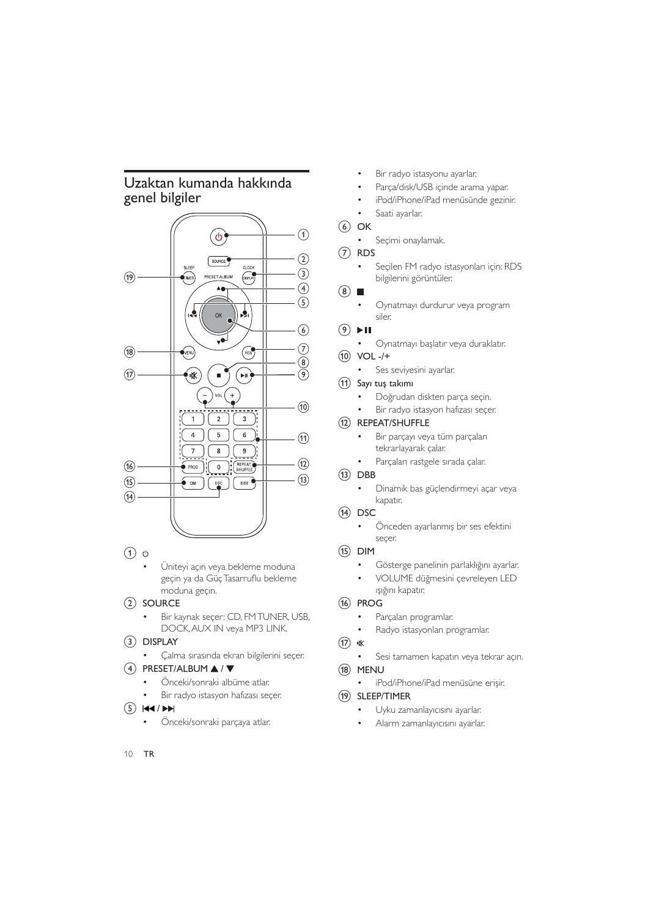#### Uzaktan kumanda hakkında genel bilgiler



 $(1)$   $\circ$ 

Üniteyi açın veya bekleme moduna geçin ya da Güç Tasarruflu bekleme moduna geçin.

#### $(2)$  SOURCE

Bir kaynak seçer: CD, FM TUNER, USB, DOCK, AUX IN veya MP3 LINK.

#### $(3)$  DISPLAY

Çalma sırasında ekran bilgilerini seçer.  $\bullet$ 

#### $(4)$  PRESET/ALBUM  $\blacktriangle$  /  $\blacktriangledown$

- Önceki/sonraki albüme atlar.
- Bir radyo istasyon hafizası seçer.

#### $(5)$   $|44/|11|$

Önceki/sonraki parcaya atlar.

- Bir radyo istasyonu ayarlar.
- Parca/disk/USB icinde arama yapar.
- iPod/iPhone/iPad menüsünde gezinir.
- Saati ayarlar.

#### $(6)$  OK

Seçimi onaylamak.  $\ddot{\phantom{0}}$ 

 $(7)$  RDS

Seçilen FM radyo istasyonları için: RDS bilgilerini görüntüler.

 $(8)$ 

Oynatmayı durdurur veya program siler.

#### $(9)$   $\blacktriangleright$  II

- Oynatmayı başlatır veya duraklatır.
- $(10)$  VOL -/+
	- Ses seviyesini ayarlar.
- (11) Sayı tuş takımı
	- Doğrudan diskten parça seçin.
	- Bir radyo istasyon hafizası seçer.

#### (12) REPEAT/SHUFFLE

- Bir parçayı veya tüm parçaları  $\bullet$ tekrarlayarak çalar.
- $\ddot{\phantom{0}}$ Parçaları rastgele sırada çalar.

#### $(13)$  DBB

Dinamik bas güçlendirmeyi açar veya  $\bullet$ kapatır.

#### $(14)$  DSC

Önceden ayarlanmış bir ses efektini  $\bullet$ secer.

#### $(15)$  DIM

- Gösterge panelinin parlaklığını ayarlar.
- $\ddot{\phantom{0}}$ VOLUME düğmesini çevreleyen LED ışığını kapatır.

#### (16) PROG

- Parçaları programlar.  $\bullet$
- $\overline{a}$ Radyo istasyonları programlar.

#### $(17)$   $\&$

Sesi tamamen kapatın veya tekrar açın.

#### (18) MENU

iPod/iPhone/iPad menüsüne erişir.

#### SLEEP/TIMER  $(19)$

- Uyku zamanlayıcısını ayarlar.
- $\bullet$ Alarm zamanlayıcısını ayarlar.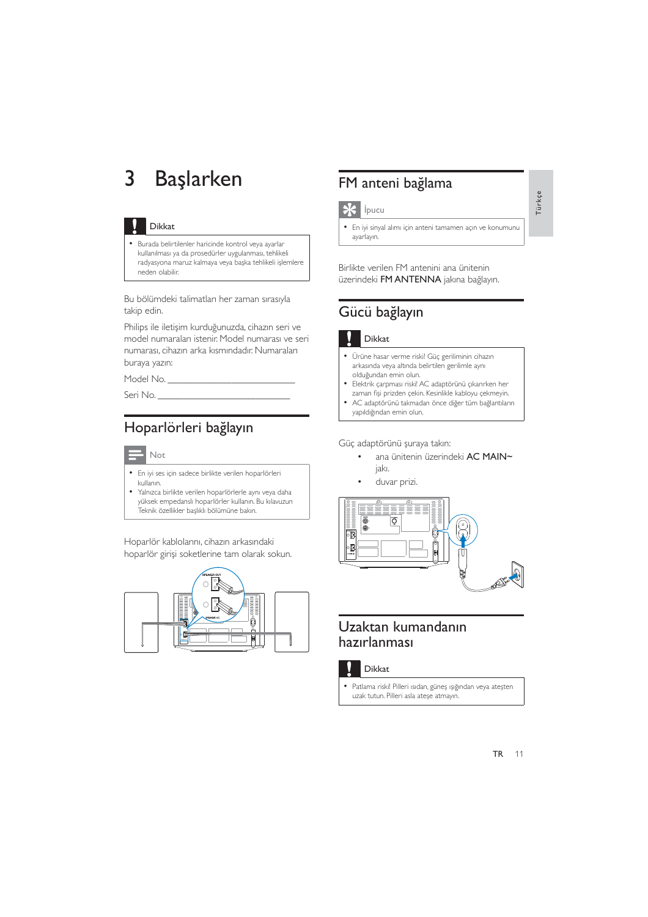#### Başlarken  $\overline{3}$

#### Dikkat

· Burada belirtilenler haricinde kontrol veya ayarlar kullanılması ya da prosedürler uygulanması, tehlikeli radyasyona maruz kalmaya veya başka tehlikeli işlemlere neden olabilir.

Bu bölümdeki talimatları her zaman sırasıyla takip edin.

Philips ile iletişim kurduğunuzda, cihazın seri ve model numaraları istenir. Model numarası ve seri numarası, cihazın arka kısmındadır. Numaraları buraya yazın:

Model No.

Seri No.

## Hoparlörleri bağlayın

#### $\mathbf{B}$  Not

- · En iyi ses için sadece birlikte verilen hoparlörleri kullanın.
- · Yalnızca birlikte verilen hoparlörlerle aynı veya daha yüksek empedanslı hoparlörler kullanın. Bu kılavuzun .<br>Teknik özellikler başlıklı bölümüne bakın.

Hoparlör kablolarını, cihazın arkasındaki hoparlör girişi soketlerine tam olarak sokun.



## FM anteni bağlama

#### $\mathbf{\times}$  ipucu

· En iyi sinyal alımı için anteni tamamen açın ve konumunu ayarlayın.

Birlikte verilen FM antenini ana ünitenin üzerindeki FM ANTENNA jakına bağlayın.

## Gücü bağlayın

#### Dikkat

- Ürüne hasar verme riski! Güç geriliminin cihazın  $\bullet$ arkasında veya altında belirtilen gerilimle aynı olduğundan emin olun.
- · Elektrik çarpması riski! AC adaptörünü çıkarırken her zaman fişi prizden çekin. Kesinlikle kabloyu çekmeyin.
- AC adaptörünü takmadan önce diğer tüm bağlantıların
- yapıldığından emin olun.

Güç adaptörünü şuraya takın:

- ana ünitenin üzerindeki AC MAIN~ jakı.
	- duvar prizi.



#### Uzaktan kumandanın hazırlanması

Dikkat

· Patlama riski! Pilleri ısıdan, güneş ışığından veya ateşten uzak tutun. Pilleri asla ateşe atmayın.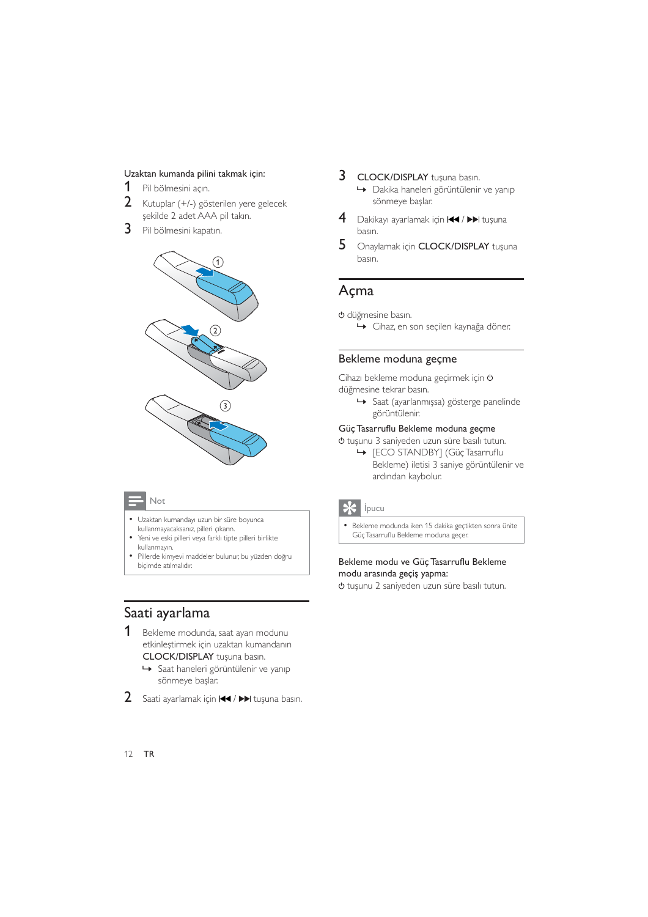#### Uzaktan kumanda pilini takmak için:

- $\mathbf 1$ Pil bölmesini açın.
- $\mathcal{P}$ Kutuplar (+/-) gösterilen yere gelecek şekilde 2 adet AAA pil takın.
- 3 Pil bölmesini kapatın.



#### Not

- Uzaktan kumandayı uzun bir süre boyunca kullanmayacaksanız, pilleri çıkarın.
- $\overline{a}$ Yeni ve eski pilleri veya farklı tipte pilleri birlikte kullanmayın.
- Pillerde kimyevi maddeler bulunur, bu yüzden doğru biçimde atılmalıdır.
- 3 CLOCK/DISPLAY tuşuna basın. → Dakika haneleri görüntülenir ve yanıp sönmeye başlar.
- 4 Dakikayı ayarlamak için  $\blacktriangleright\blacktriangleright\blacktriangleright\blacktriangleright$ l tuşuna basın.
- 5 Onaylamak için CLOCK/DISPLAY tuşuna basın.

#### Açma

- O düğmesine basın.
	- ← Cihaz, en son seçilen kaynağa döner.

#### Bekleme moduna geçme

Cihazı bekleme moduna geçirmek için O düğmesine tekrar basın.

Saat (ayarlanmışsa) gösterge panelinde görüntülenir.

#### Güç Tasarruflu Bekleme moduna geçme

- O tuşunu 3 saniyeden uzun süre basılı tutun.
	- ← [ECO STANDBY] (Güç Tasarruflu Bekleme) iletisi 3 saniye görüntülenir ve ardından kaybolur.



Bekleme modunda iken 15 dakika geçtikten sonra ünite Güç Tasarruflu Bekleme moduna geçer.

#### Bekleme modu ve Güç Tasarruflu Bekleme modu arasında geçiş yapma:

→ tuşunu 2 saniyeden uzun süre basılı tutun.

#### Saati ayarlama

- 1 Bekleme modunda, saat ayarı modunu etkinleştirmek için uzaktan kumandanın CLOCK/DISPLAY tuşuna basın.
	- Saat haneleri görüntülenir ve yanıp sönmeye başlar.
- 2 Saati ayarlamak için  $\blacktriangleleft$  /  $\blacktriangleright$  tuşuna basın.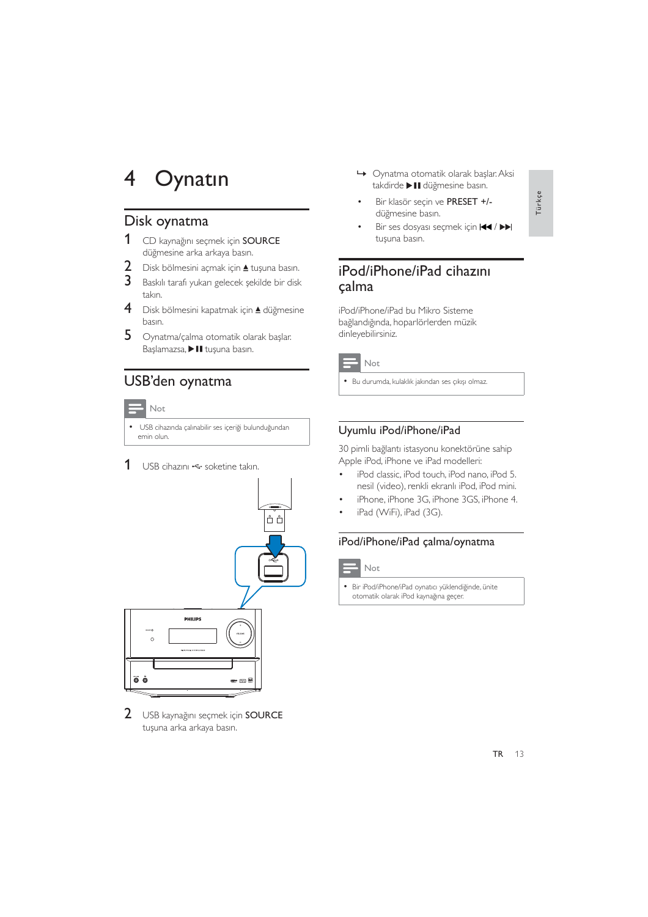#### 4 Oynatin

#### Disk oynatma

- 1 CD kaynağını seçmek için SOURCE düğmesine arka arkaya basın.
- $\overline{2}$ Disk bölmesini açmak için ▲ tuşuna basın.
- 3 Baskılı tarafı yukarı gelecek şekilde bir disk takın.
- $\overline{\mathbf{4}}$ Disk bölmesini kapatmak için ▲ düğmesine basın.
- 5 Oynatma/çalma otomatik olarak başlar. Başlamazsa, > II tuşuna basın.

#### USB'den oynatma



· USB cihazında çalınabilir ses içeriği bulunduğundan emin olun.

1 USB cihazını < soketine takın.



 $2^{\circ}$ USB kaynağını seçmek için SOURCE tuşuna arka arkaya basın.

- → Oynatma otomatik olarak başlar. Aksi takdirde > II düğmesine basın.
- Bir klasör secin ve PRESET +/düğmesine basın.
- Bir ses dosyası seçmek için  $\blacktriangleleft$  /  $\blacktriangleright$ tusuna basın.

#### iPod/iPhone/iPad cihazını calma

iPod/iPhone/iPad bu Mikro Sisteme bağlandığında, hoparlörlerden müzik dinleyebilirsiniz.



· Bu durumda, kulaklık jakından ses çıkışı olmaz.

#### Uyumlu iPod/iPhone/iPad

30 pimli bağlantı istasyonu konektörüne sahip Apple iPod, iPhone ve iPad modelleri:

- iPod classic, iPod touch, iPod nano, iPod 5. nesil (video), renkli ekranlı iPod, iPod mini.
- iPhone, iPhone 3G, iPhone 3GS, iPhone 4.
- iPad (WiFi), iPad (3G).

#### iPod/iPhone/iPad çalma/oynatma



· Bir iPod/iPhone/iPad oynatıcı yüklendiğinde, ünite otomatik olarak iPod kaynağına geçer.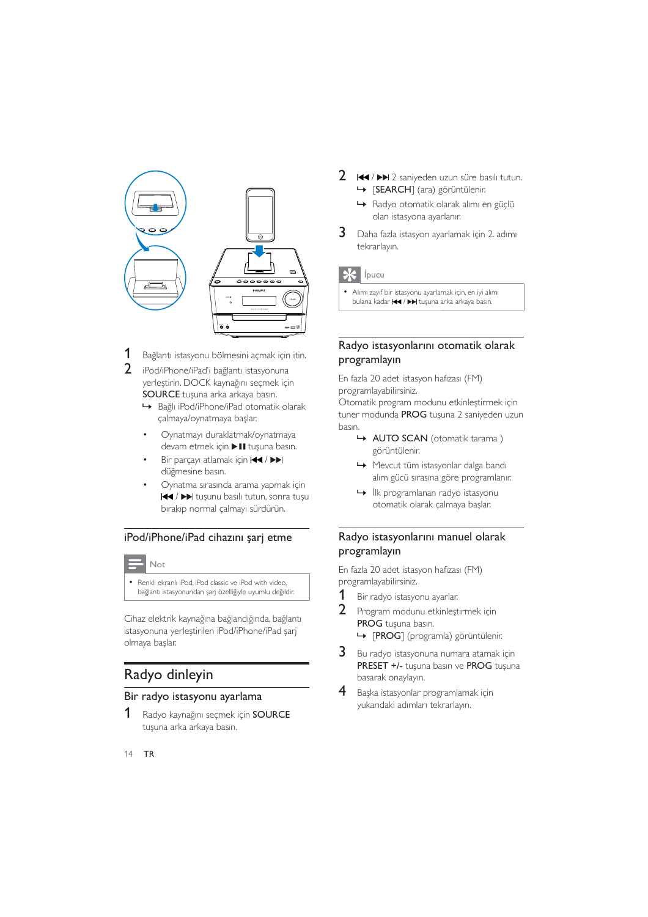

1 Bağlantı istasyonu bölmesini açmak için itin.

 $\overline{2}$ iPod/iPhone/iPad'i bağlantı istasyonuna yerleştirin. DOCK kaynağını seçmek için SOURCE tuşuna arka arkaya basın.

- Bağlı iPod/iPhone/iPad otomatik olarak çalmaya/oynatmaya başlar.
- Oynatmayı duraklatmak/oynatmaya devam etmek için > II tuşuna basın.
- Bir parçayı atlamak için 144 / PPI düğmesine basın.
- Oynatma sırasında arama yapmak için III / IV tuşunu basılı tutun, sonra tuşu bırakıp normal çalmayı sürdürün.

#### iPod/iPhone/iPad cihazını şarj etme

#### Not

· Renkli ekranlı iPod, iPod classic ve iPod with video, bağlantı istasyonundan şarj özelliğiyle uyumlu değildir.

Cihaz elektrik kaynağına bağlandığında, bağlantı istasyonuna yerleştirilen iPod/iPhone/iPad sari olmaya baslar.

#### Radyo dinleyin

#### Bir radyo istasyonu ayarlama

1 Radyo kaynağını seçmek için SOURCE tuşuna arka arkaya basın.

- 2 144 / DD 2 saniyeden uzun süre basılı tutun. SEARCH] (ara) görüntülenir.
	- Radyo otomatik olarak alımı en güçlü olan istasyona ayarlanır.
- 3 Daha fazla istasyon ayarlamak için 2. adımı tekrarlayın.

#### $\ast$ İpucu

· Alımı zayıf bir istasyonu ayarlamak için, en iyi alımı bulana kadar <a>I</a> >>>I tuşuna arka arkaya basın.

#### Radyo istasyonlarını otomatik olarak programlayın

En fazla 20 adet istasyon hafizası (FM) programlayabilirsiniz.

Otomatik program modunu etkinleştirmek için tuner modunda PROG tuşuna 2 saniyeden uzun hasin.

- AUTO SCAN (otomatik tarama) görüntülenir.
- ← Mevcut tüm istasyonlar dalga bandı alım gücü sırasına göre programlanır.
- I ilk programlanan radyo istasyonu otomatik olarak çalmaya başlar.

#### Radyo istasyonlarını manuel olarak programlayın

En fazla 20 adet istasyon hafizası (FM) programlayabilirsiniz.

- 1 Bir radyo istasyonu ayarlar.
- $2<sup>1</sup>$ Program modunu etkinlestirmek için PROG tusuna basın.
	- → [PROG] (programla) görüntülenir.
- $3<sup>1</sup>$ Bu radyo istasyonuna numara atamak için PRESET +/- tuşuna basın ve PROG tuşuna basarak onaylayın.
- $\overline{4}$ Başka istasyonlar programlamak için yukarıdaki adımları tekrarlayın.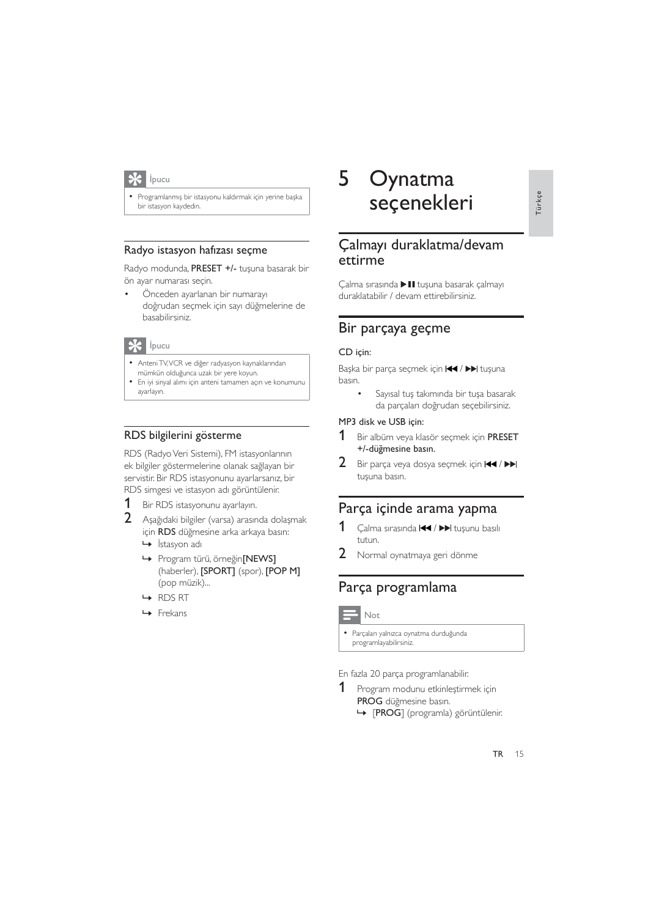

Programlanmış bir istasyonu kaldırmak için yerine başka bir istasyon kaydedin.

#### Radyo istasyon hafizası seçme

Radyo modunda, PRESET +/- tuşuna basarak bir ön ayar numarası seçin.

Önceden ayarlanan bir numarayı doğrudan secmek için sayı düğmelerine de basabilirsiniz.

#### **\*** Ipucu

- · Anteni TV, VCR ve diğer radyasyon kaynaklarından
- mümkün olduğunca uzak bir yere koyun.
- · En iyi sinyal alımı için anteni tamamen açın ve konumunu avarlavın

#### RDS bilgilerini gösterme

RDS (Radyo Veri Sistemi), FM istasyonlarının ek bilgiler göstermelerine olanak sağlayan bir servistir. Bir RDS istasyonunu ayarlarsanız, bir RDS simgesi ve istasyon adı görüntülenir.

- Bir RDS istasyonunu ayarlayın. 1
- $2<sup>1</sup>$ Asağıdaki bilgiler (varsa) arasında dolaşmak için RDS düğmesine arka arkaya basın:
	- $\mapsto$  İstasyon adı
	- → Program türü, örneğin[NEWS] (haberler), [SPORT] (spor), [POP M] (pop müzik)...
	- $\rightarrow$  RDS RT
	- $\rightarrow$  Frekans

#### 5 Oynatma seçenekleri

#### Çalmayı duraklatma/devam ettirme

Calma sırasında > II tusuna basarak çalmayı duraklatabilir / devam ettirebilirsiniz.

#### Bir parçaya geçme

#### CD için:

Başka bir parça seçmek için I<</a>I />
>I tuşuna basın.

Sayısal tuş takımında bir tuşa basarak da parçaları doğrudan seçebilirsiniz.

#### MP3 disk ve USB için:

- 1 Bir albüm veya klasör secmek icin PRESET +/-düğmesine basın.
- $\overline{2}$ Bir parça veya dosya seçmek için  $\blacktriangleleft$  /  $\blacktriangleright$ tusuna basın.

#### Parça içinde arama yapma

- 1 Çalma sırasında </a> </a> </a>lda </a>1</a> tuşunu basılı tutun.
- $\overline{2}$ Normal oynatmaya geri dönme

#### Parça programlama

#### Not

· Parçaları yalnızca oynatma durduğunda programlayabilirsiniz.

En fazla 20 parça programlanabilir.

1 Program modunu etkinleştirmek için PROG düğmesine basın. → [PROG] (programla) görüntülenir.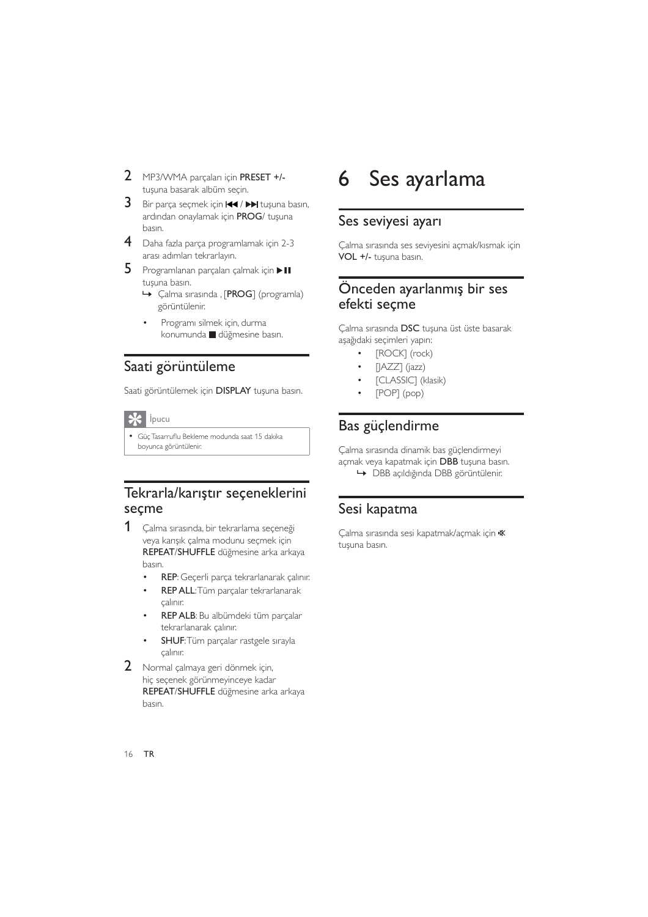- 2 MP3/WMA parçaları için PRESET +/tusuna basarak albüm secin.
- Bir parça seçmek için III / DDI tuşuna basın, ardından onaylamak için PROG/ tuşuna basın.
- 4 Daha fazla parça programlamak için 2-3 arası adımları tekrarlayın.
- 5 Programlanan parçaları çalmak için > II tusuna basın.
	- → Çalma sırasında , [PROG] (programla) görüntülenir.
	- Programı silmek için, durma konumunda düğmesine basın.

#### Saati görüntüleme

Saati görüntülemek için DISPLAY tuşuna basın.

#### $\mathbf{\ast}$ İpucu

· Güç Tasarruflu Bekleme modunda saat 15 dakika boyunca görüntülenir.

#### Tekrarla/karıştır seçeneklerini seçme

- 1 Çalma sırasında, bir tekrarlama seçeneği veya karışık çalma modunu seçmek için REPEAT/SHUFFLE düğmesine arka arkaya basın.
	- REP: Geçerli parça tekrarlanarak çalınır.  $\ddot{\phantom{1}}$
	- REP ALL: Tüm parçalar tekrarlanarak calinir.
	- REP ALB: Bu albümdeki tüm parçalar tekrarlanarak çalınır.
	- SHUF: Tüm parçalar rastgele sırayla calinir.
- 2 Normal çalmaya geri dönmek için, hiç seçenek görünmeyinceye kadar REPEAT/SHUFFLE düğmesine arka arkaya hasin

#### Ses ayarlama 6

#### Ses seviyesi ayarı

Çalma sırasında ses seviyesini açmak/kısmak için VOL +/- tuşuna basın.

#### Önceden ayarlanmış bir ses efekti seçme

Calma sırasında DSC tuşuna üst üste basarak aşağıdaki seçimleri yapın:

- [ROCK] (rock)
- $[|AZZ]$  ( $|azz$ )
- [CLASSIC] (klasik)
- $[POP] (pop)$

#### Bas güçlendirme

Calma sırasında dinamik bas güclendirmeyi açmak veya kapatmak için DBB tuşuna basın. → DBB acıldığında DBB görüntülenir.

#### Sesi kapatma

Çalma sırasında sesi kapatmak/açmak için \ tusuna basın.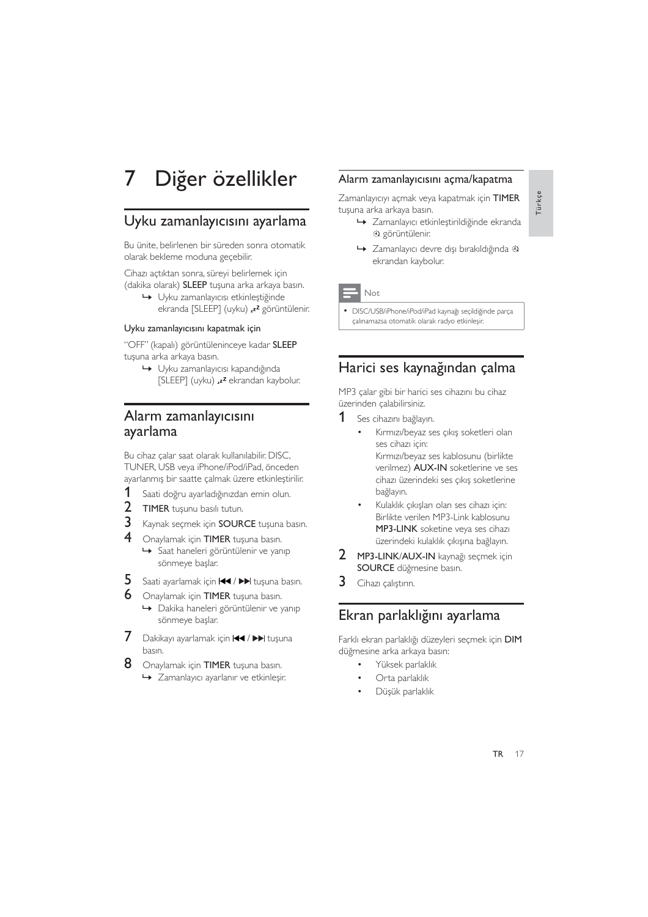#### Diğer özellikler 7

#### Uyku zamanlayıcısını ayarlama

Bu ünite, belirlenen bir süreden sonra otomatik olarak bekleme moduna geçebilir.

Cihazı açtıktan sonra, süreyi belirlemek için (dakika olarak) SLEEP tuşuna arka arkaya basın.

Uyku zamanlayıcısı etkinleştiğinde ekranda [SLEEP] (uyku) <sup>22</sup> görüntülenir.

#### Uyku zamanlayıcısını kapatmak için

"OFF" (kapalı) görüntüleninceye kadar SLEEP tuşuna arka arkaya basın.

→ Uyku zamanlayıcısı kapandığında [SLEEP] (uyku) <sup>22</sup> ekrandan kaybolur.

#### Alarm zamanlayıcısını ayarlama

Bu cihaz çalar saat olarak kullanılabilir. DISC, TUNER, USB veya iPhone/iPod/iPad, önceden ayarlanmış bir saatte çalmak üzere etkinleştirilir.

- 1 Saati doğru ayarladığınızdan emin olun.
- $\overline{2}$ TIMER tuşunu basılı tutun.
- 3 Kaynak seçmek için SOURCE tuşuna basın.
- $\overline{4}$ Onaylamak için TIMER tuşuna basın.
	- Saat haneleri görüntülenir ve yanıp sönmeye başlar.
- 5 Saati ayarlamak için <a>I</a><br>Il tuşuna basın.
- 6 Onaylamak için TIMER tuşuna basın.
	- → Dakika haneleri görüntülenir ve yanıp sönmeye başlar.
- 7 Dakikayı ayarlamak için </a>I</a>H tuşuna basın.
- 8 Onaylamak için TIMER tuşuna basın.
	- → Zamanlayıcı ayarlanır ve etkinleşir.

#### Alarm zamanlayıcısını açma/kapatma

Zamanlayıcıyı açmak veya kapatmak için TIMER tuşuna arka arkaya basın.

- → Zamanlayıcı etkinleştirildiğinde ekranda a görüntülenir.
- → Zamanlayıcı devre dışı bırakıldığında 4) ekrandan kaybolur.

Not

DISC/USB/iPhone/iPod/iPad kaynağı seçildiğinde parça çalınamazsa otomatik olarak radyo etkinleşir.

#### Harici ses kaynağından çalma

MP3 calar gibi bir harici ses cihazını bu cihaz üzerinden çalabilirsiniz.

- 1 Ses cihazını bağlayın.
	- Kırmızı/beyaz ses çıkış soketleri olan ses cihazı için: Kırmızı/beyaz ses kablosunu (birlikte

verilmez) AUX-IN soketlerine ve ses cihazı üzerindeki ses çıkış soketlerine bağlayın.

- Kulaklık çıkışları olan ses cihazı için: Birlikte verilen MP3-Link kablosunu MP3-LINK soketine veya ses cihazi üzerindeki kulaklık çıkışına bağlayın.
- $2<sup>1</sup>$ MP3-LINK/AUX-IN kaynağı seçmek için SOURCE düğmesine basın.
- 3 Cihazı çalıştırın.

#### Ekran parlaklığını ayarlama

Farklı ekran parlaklığı düzeyleri seçmek için DIM düğmesine arka arkaya basın:

- Yüksek parlaklık
- Orta parlaklık
- Düşük parlaklık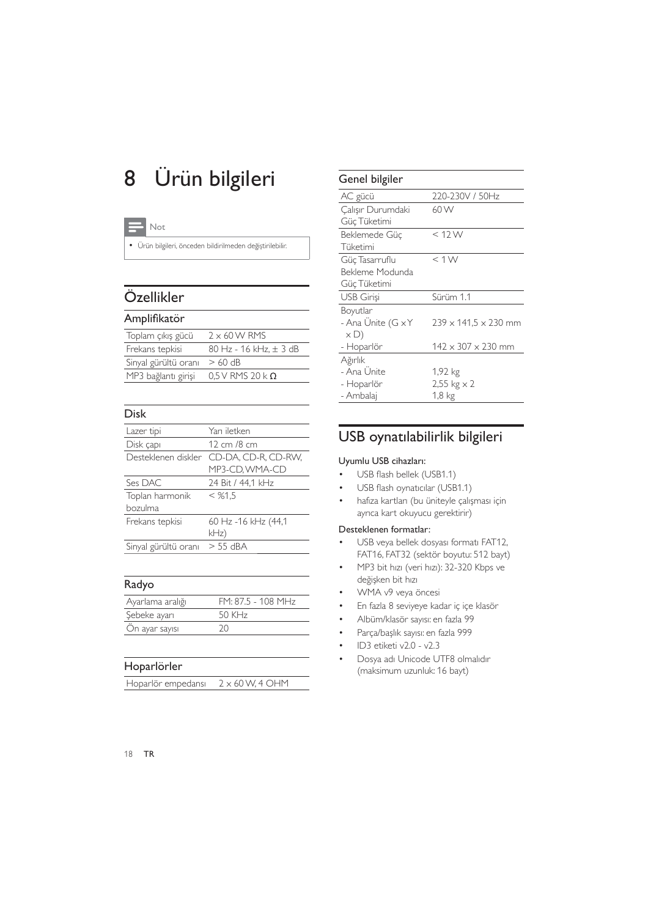# 8 Ürün bilgileri

| $\sim$<br>. . |
|---------------|
|               |

· Ürün bilgileri, önceden bildirilmeden değiştirilebilir.

## Özellikler

#### Amplifikatör

| Toplam çıkış gücü    | $2 \times 60$ W RMS       |
|----------------------|---------------------------|
| Frekans tepkisi      | 80 Hz - 16 kHz, ± 3 dB    |
| Sinyal gürültü oranı | $>60$ dB                  |
| MP3 bağlantı girişi  | $0.5$ V RMS 20 k $\Omega$ |

#### Disk

| Lazer tipi           | Yarı iletken        |
|----------------------|---------------------|
| Disk çapı            | 12 cm /8 cm         |
| Desteklenen diskler  | CD-DA, CD-R, CD-RW, |
|                      | MP3-CD, WMA-CD      |
| Ses DAC              | 24 Bit / 44,1 kHz   |
| Toplan harmonik      | $<$ %1.5            |
| bozulma              |                     |
| Frekans tepkisi      | 60 Hz -16 kHz (44,1 |
|                      | kHz)                |
| Sinyal gürültü oranı | $> 55$ dBA          |

#### Radyo

| Ayarlama aralığı | FM: 87.5 - 108 MHz |
|------------------|--------------------|
| Şebeke ayarı     | 50 KHz             |
| On ayar sayısı   | 20.                |
|                  |                    |

#### Hoparlörler

| $2 \times 60$ W, 4 OHM<br>Hoparlör empedansı |
|----------------------------------------------|
|----------------------------------------------|

#### Genel bilgiler AC gücü 220-230V / 50Hz Çalışır Durumdaki Güc Tüketimi 60W Beklemede Güc Tüketimi  $< 12$  W Güç Tasarruflu Bekleme Modunda Güc Tüketimi  $< 1 W$ USB Girişi Sürüm 1.1 Boyutlar - Ana Ünite  $(G \times Y)$  $\times D)$ - Hoparlör  $239 \times 141,5 \times 230$  mm  $142 \times 307 \times 230$  mm Ağırlık - Ana Ünite - Hoparlör - Ambalaj 1.92 kg  $2.55$  kg  $\times$  2  $1.8 \text{ kg}$

## USB oynatılabilirlik bilgileri

#### Uyumlu USB cihazları:

- USB flash bellek (USB1.1)
- USB flash oynaticilar (USB1.1)
- · hafıza kartları (bu üniteyle çalışması için ayrıca kart okuyucu gerektirir)

#### Desteklenen formatlar:

- USB veva bellek dosvası formatı FAT12. FAT16, FAT32 (sektör bovutu: 512 bayt)
- MP3 bit hızı (veri hızı): 32-320 Kbps ve değişken bit hızı
- WMA v9 veya öncesi
- En fazla 8 seviveye kadar ic ice klasör
- · Albüm/klasör sayısı: en fazla 99
- · Parça/başlık sayısı: en fazla 999
- $\cdot$  ID3 etiketi v2.0 v2.3
- Dosya adı Unicode UTF8 olmalıdır (maksimum uzunluk: 16 bayt)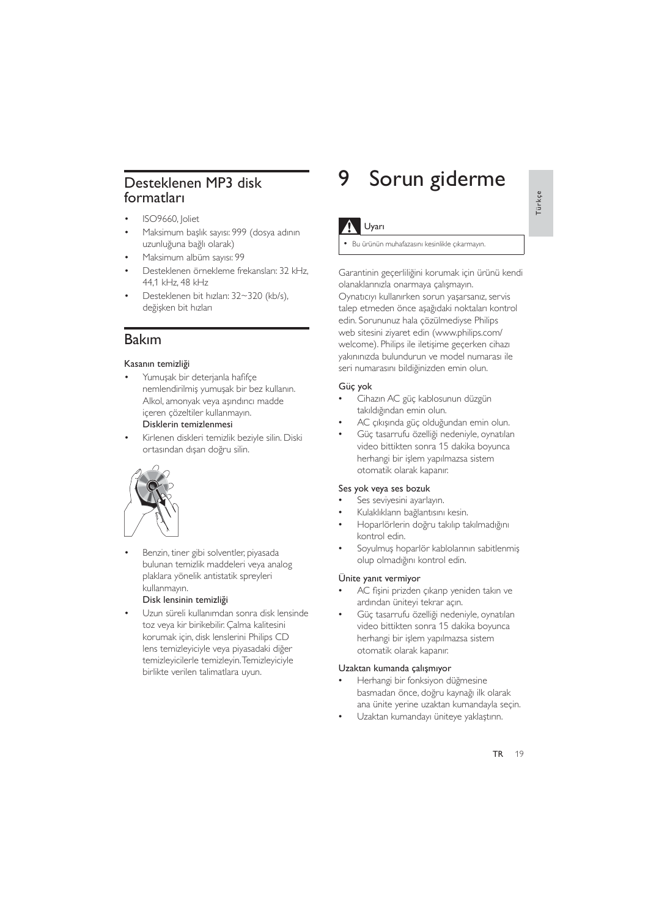### Desteklenen MP3 disk formatları

- ISO9660, Joliet
- Maksimum başlık sayısı: 999 (dosya adının uzunluğuna bağlı olarak)
- Maksimum albüm sayısı: 99
- Desteklenen örnekleme frekansları: 32 kHz, 44.1 kHz, 48 kHz
- Desteklenen bit hızları: 32~320 (kb/s), değişken bit hızları

#### **Bakım**

#### Kasanın temizliği

- Yumuşak bir deterjanla hafifçe nemlendirilmis yumusak bir bez kullanın. Alkol, amonyak veya asındırıcı madde iceren cözeltiler kullanmayın. Disklerin temizlenmesi
- Kirlenen diskleri temizlik beziyle silin. Diski ortasından dışarı doğru silin.



Benzin, tiner gibi solventler, piyasada bulunan temizlik maddeleri veya analog plaklara yönelik antistatik spreyleri kullanmayın.

#### Disk lensinin temizliği

Uzun süreli kullanımdan sonra disk lensinde toz veya kir birikebilir. Çalma kalitesini korumak için, disk lenslerini Philips CD lens temizleyiciyle veya piyasadaki diğer temizleyicilerle temizleyin. Temizleyiciyle birlikte verilen talimatlara uyun.

#### Sorun giderme 9

#### Uyarı

Bu ürünün muhafazasını kesinlikle çıkarmayın.

Garantinin geçerliliğini korumak için ürünü kendi olanaklarınızla onarmaya calısmayın. Oynatıcıyı kullanırken sorun yaşarsanız, servis talep etmeden önce aşağıdaki noktaları kontrol edin. Sorununuz hala çözülmediyse Philips web sitesini ziyaret edin (www.philips.com/ welcome). Philips ile iletişime geçerken cihazı yakınınızda bulundurun ve model numarası ile seri numarasını bildiğinizden emin olun.

#### Güç yok

- Cihazın AC güç kablosunun düzgün takıldığından emin olun.
- AC çıkışında güç olduğundan emin olun.
- Güç tasarrufu özelliği nedeniyle, oynatılan video bittikten sonra 15 dakika boyunca herhangi bir işlem yapılmazsa sistem otomatik olarak kapanır.

#### Ses yok veya ses bozuk

- Ses seviyesini ayarlayın.
- Kulaklıkların bağlantısını kesin.
- Hoparlörlerin doğru takılıp takılmadığını kontrol edin.
- Soyulmuş hoparlör kablolarının sabitlenmiş olup olmadığını kontrol edin.

#### Ünite yanıt vermiyor

- AC fişini prizden çıkarıp yeniden takın ve ardından üniteyi tekrar açın.
- Güç tasarrufu özelliği nedeniyle, oynatılan video bittikten sonra 15 dakika boyunca herhangi bir islem yapılmazsa sistem otomatik olarak kapanır.

#### Uzaktan kumanda çalışmıyor

- Herhangi bir fonksiyon düğmesine basmadan önce, doğru kaynağı ilk olarak ana ünite yerine uzaktan kumandayla seçin.
- Uzaktan kumandayı üniteye yaklaştırın.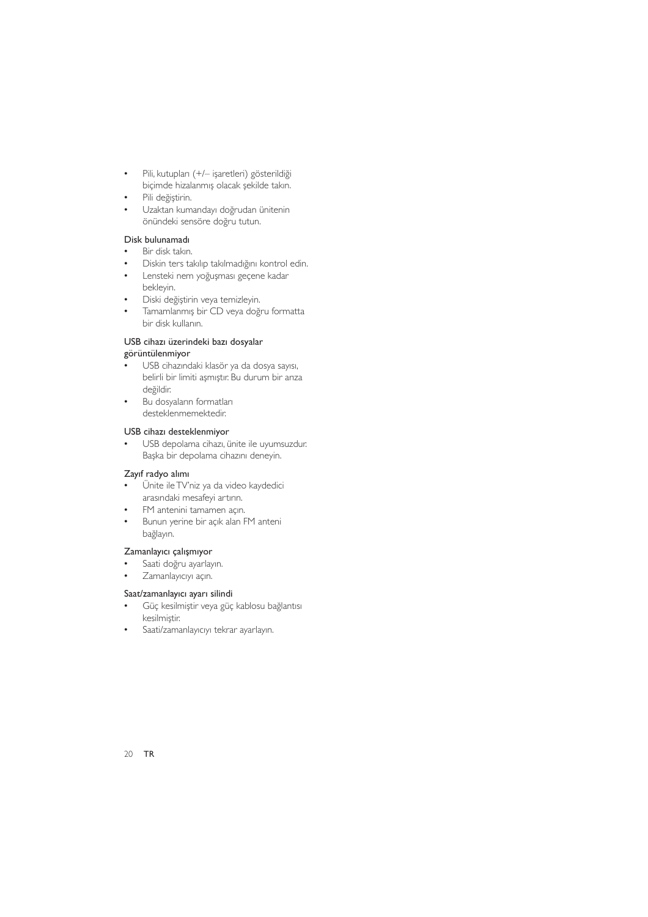- Pili, kutupları (+/- işaretleri) gösterildiği  $\bullet$ biçimde hizalanmış olacak şekilde takın.
- Pili değiştirin.
- Uzaktan kumandayı doğrudan ünitenin önündeki sensöre doğru tutun.

#### Disk bulunamadı

- Bir disk takın.
- Diskin ters takılıp takılmadığını kontrol edin.
- Lensteki nem yoğuşması geçene kadar  $\overline{a}$ bekleyin.
- Diski değiştirin veya temizleyin.
- Tamamlanmış bir CD veya doğru formatta bir disk kullanın.

#### USB cihazı üzerindeki bazı dosyalar

#### görüntülenmiyor

- USB cihazındaki klasör ya da dosya sayısı, belirli bir limiti aşmıştır. Bu durum bir anza değildir.
- Bu dosyaların formatları desteklenmemektedir.

#### USB cihazı desteklenmiyor

USB depolama cihazı, ünite ile uyumsuzdur. Başka bir depolama cihazını deneyin.

#### Zayıf radyo alımı

- Ünite ile TV'niz ya da video kaydedici arasındaki mesafeyi artırın.
- $\ddot{\phantom{0}}$ FM antenini tamamen açın.
- Bunun yerine bir açık alan FM anteni  $\bullet$ bağlayın.

#### Zamanlayıcı çalışmıyor

- Saati doğru ayarlayın.
- $\ddot{\phantom{0}}$ Zamanlayıcıyı açın.

#### Saat/zamanlayıcı ayarı silindi

- Güç kesilmiştir veya güç kablosu bağlantısı kesilmiştir.
- Saati/zamanlayıcıyı tekrar ayarlayın.